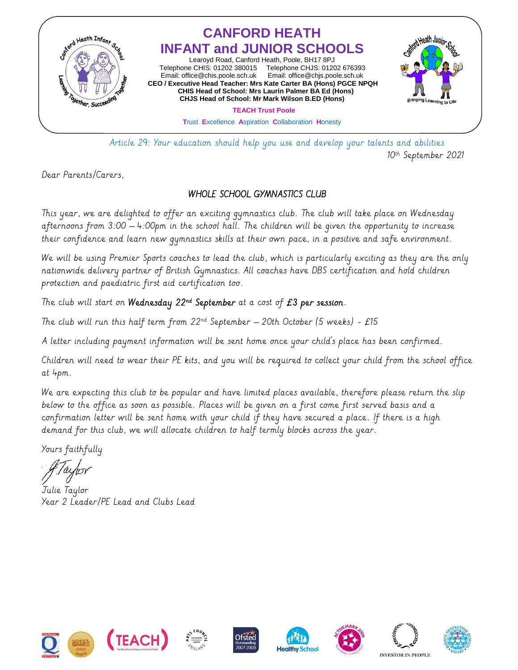

 Article 29: Your education should help you use and develop your talents and abilities 10<sup>th</sup> September 2021

Dear Parents/Carers,

## WHOLE SCHOOL GYMNASTICS CLUB

This year, we are delighted to offer an exciting gymnastics club. The club will take place on Wednesday afternoons from 3:00 – 4:00pm in the school hall. The children will be given the opportunity to increase their confidence and learn new gymnastics skills at their own pace, in a positive and safe environment.

We will be using Premier Sports coaches to lead the club, which is particularly exciting as they are the only nationwide delivery partner of British Gymnastics. All coaches have DBS certification and hold children protection and paediatric first aid certification too.

The club will start on **Wednesday 22nd September** at a cost of  $E3$  **per session.** 

The club will run this half term from  $22^{nd}$  September – 20th October (5 weeks) - £15

A letter including payment information will be sent home once your child's place has been confirmed.

Children will need to wear their PE kits, and you will be required to collect your child from the school office at 4pm.

We are expecting this club to be popular and have limited places available, therefore please return the slip below to the office as soon as possible. Places will be given on a first come first served basis and a confirmation letter will be sent home with your child if they have secured a place. If there is a high demand for this club, we will allocate children to half termly blocks across the year.

Yours faithfully

Julie Taylor Year 2 Leader/PE Lead and Clubs Lead